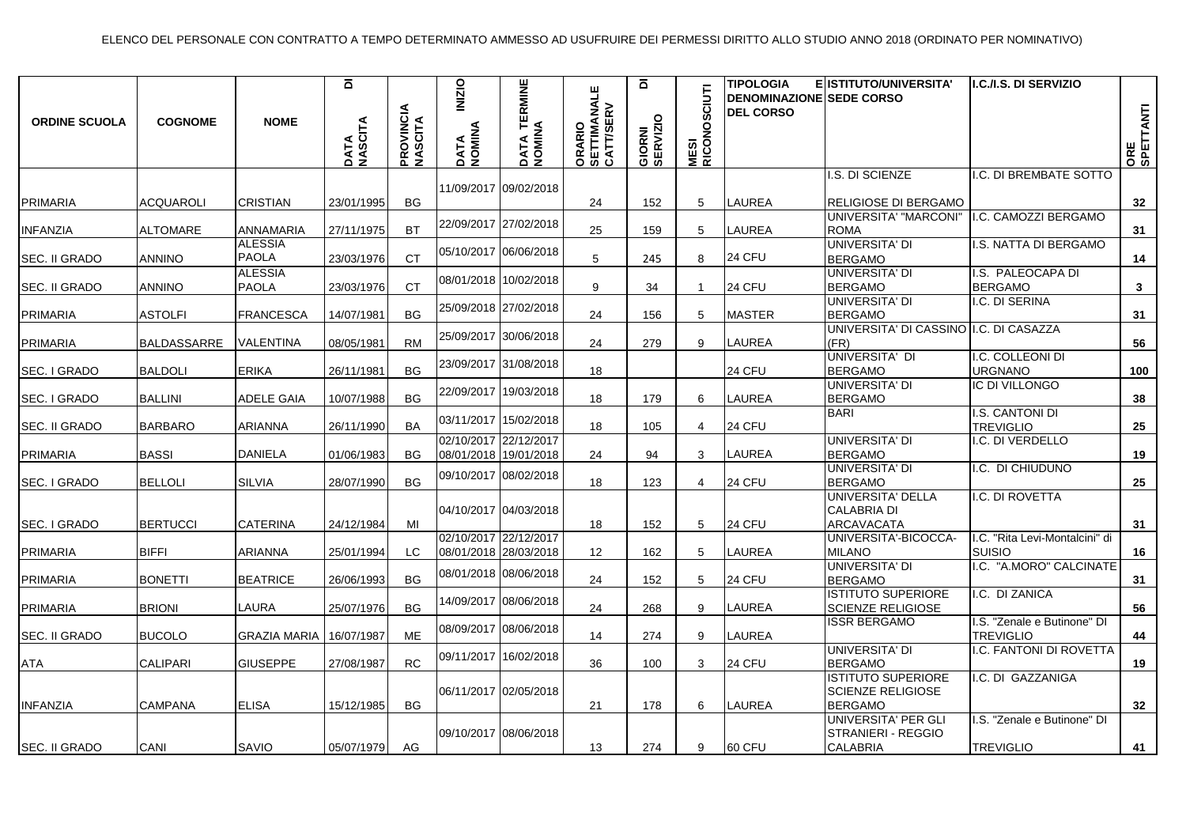| <b>ORDINE SCUOLA</b> | <b>COGNOME</b>     | <b>NOME</b>                    | $\overline{\mathbf{a}}$<br>DATA<br>NASCITA | <b>PROVINCIA</b><br>NASCITA | <b>INIZIO</b><br>DATA<br>NOMINA | <b>TERMINE</b><br>DATA TE<br>NOMINA            | ORARIO<br>SETTIMANALE<br>CATT/SERV | ā<br>GIORNI<br>SERVIZIO | <b>FOID</b><br><b>MESI<br/>RICONOSO</b> | <b>TIPOLOGIA</b><br><b>DENOMINAZIONE SEDE CORSO</b><br><b>DEL CORSO</b> | E ISTITUTO/UNIVERSITA'                                                  | I.C./I.S. DI SERVIZIO                           | ORE<br>SPETTANTI |
|----------------------|--------------------|--------------------------------|--------------------------------------------|-----------------------------|---------------------------------|------------------------------------------------|------------------------------------|-------------------------|-----------------------------------------|-------------------------------------------------------------------------|-------------------------------------------------------------------------|-------------------------------------------------|------------------|
|                      |                    |                                |                                            |                             |                                 | 11/09/2017 09/02/2018                          |                                    |                         |                                         |                                                                         | I.S. DI SCIENZE                                                         | I.C. DI BREMBATE SOTTO                          |                  |
| <b>PRIMARIA</b>      | <b>ACQUAROLI</b>   | <b>CRISTIAN</b>                | 23/01/1995                                 | BG                          |                                 |                                                | 24                                 | 152                     | 5                                       | <b>LAUREA</b>                                                           | RELIGIOSE DI BERGAMO                                                    |                                                 | 32               |
| <b>INFANZIA</b>      | <b>ALTOMARE</b>    | ANNAMARIA                      | 27/11/1975                                 | <b>BT</b>                   |                                 | 22/09/2017 27/02/2018                          | 25                                 | 159                     | 5                                       | <b>LAUREA</b>                                                           | UNIVERSITA' "MARCONI"<br><b>ROMA</b>                                    | I.C. CAMOZZI BERGAMO                            | 31               |
| <b>SEC. II GRADO</b> | <b>ANNINO</b>      | <b>ALESSIA</b><br><b>PAOLA</b> | 23/03/1976                                 | <b>CT</b>                   |                                 | 05/10/2017 06/06/2018                          | 5                                  | 245                     | 8                                       | 24 CFU                                                                  | UNIVERSITA' DI<br><b>BERGAMO</b>                                        | I.S. NATTA DI BERGAMO                           | 14               |
| <b>SEC. II GRADO</b> | <b>ANNINO</b>      | <b>ALESSIA</b><br><b>PAOLA</b> | 23/03/1976                                 | <b>CT</b>                   |                                 | 08/01/2018 10/02/2018                          | 9                                  | 34                      | $\mathbf{1}$                            | 24 CFU                                                                  | UNIVERSITA' DI<br><b>BERGAMO</b>                                        | I.S. PALEOCAPA DI<br><b>BERGAMO</b>             | $\mathbf{3}$     |
| <b>PRIMARIA</b>      | <b>ASTOLFI</b>     | <b>FRANCESCA</b>               | 14/07/1981                                 | <b>BG</b>                   |                                 | 25/09/2018 27/02/2018                          | 24                                 | 156                     | 5                                       | <b>MASTER</b>                                                           | UNIVERSITA' DI<br><b>BERGAMO</b>                                        | I.C. DI SERINA                                  | 31               |
| PRIMARIA             | <b>BALDASSARRE</b> | VALENTINA                      | 08/05/1981                                 | <b>RM</b>                   |                                 | 25/09/2017 30/06/2018                          | 24                                 | 279                     | 9                                       | LAUREA                                                                  | UNIVERSITA' DI CASSINO I.C. DI CASAZZA<br>(FR)                          |                                                 | 56               |
| SEC. I GRADO         | <b>BALDOLI</b>     | <b>ERIKA</b>                   | 26/11/1981                                 | <b>BG</b>                   |                                 | 23/09/2017 31/08/2018                          | 18                                 |                         |                                         | 24 CFU                                                                  | UNIVERSITA' DI<br><b>BERGAMO</b>                                        | I.C. COLLEONI DI<br><b>URGNANO</b>              | 100              |
| SEC. I GRADO         | <b>BALLINI</b>     | <b>ADELE GAIA</b>              | 10/07/1988                                 | <b>BG</b>                   |                                 | 22/09/2017 19/03/2018                          | 18                                 | 179                     | 6                                       | LAUREA                                                                  | UNIVERSITA' DI<br><b>BERGAMO</b>                                        | IC DI VILLONGO                                  | 38               |
| SEC. II GRADO        | <b>BARBARO</b>     | <b>ARIANNA</b>                 | 26/11/1990                                 | <b>BA</b>                   |                                 | 03/11/2017 15/02/2018                          | 18                                 | 105                     | $\overline{4}$                          | 24 CFU                                                                  | <b>BARI</b>                                                             | I.S. CANTONI DI<br><b>TREVIGLIO</b>             | 25               |
| <b>PRIMARIA</b>      | <b>BASSI</b>       | <b>DANIELA</b>                 | 01/06/1983                                 | BG                          |                                 | 02/10/2017 22/12/2017<br>08/01/2018 19/01/2018 | 24                                 | 94                      | 3                                       | LAUREA                                                                  | UNIVERSITA' DI<br><b>BERGAMO</b>                                        | I.C. DI VERDELLO                                | 19               |
| SEC. I GRADO         | <b>BELLOLI</b>     | SILVIA                         | 28/07/1990                                 | <b>BG</b>                   |                                 | 09/10/2017 08/02/2018                          | 18                                 | 123                     | 4                                       | 24 CFU                                                                  | UNIVERSITA' DI<br><b>BERGAMO</b>                                        | I.C. DI CHIUDUNO                                | 25               |
| SEC. I GRADO         | <b>BERTUCCI</b>    | <b>CATERINA</b>                | 24/12/1984                                 | MI                          |                                 | 04/10/2017 04/03/2018                          | 18                                 | 152                     | 5                                       | 24 CFU                                                                  | UNIVERSITA' DELLA<br><b>CALABRIA DI</b><br>ARCAVACATA                   | I.C. DI ROVETTA                                 | 31               |
| <b>PRIMARIA</b>      | <b>BIFFI</b>       | <b>ARIANNA</b>                 | 25/01/1994                                 | LC.                         |                                 | 02/10/2017 22/12/2017<br>08/01/2018 28/03/2018 | 12                                 | 162                     | 5                                       | LAUREA                                                                  | UNIVERSITA'-BICOCCA-<br><b>MILANO</b>                                   | I.C. "Rita Levi-Montalcini" di<br><b>SUISIO</b> | 16               |
| PRIMARIA             | <b>BONETTI</b>     | <b>BEATRICE</b>                | 26/06/1993                                 | <b>BG</b>                   |                                 | 08/01/2018 08/06/2018                          | 24                                 | 152                     | 5                                       | 24 CFU                                                                  | UNIVERSITA' DI<br><b>BERGAMO</b>                                        | I.C. "A.MORO" CALCINATE                         | 31               |
| PRIMARIA             | <b>BRIONI</b>      | LAURA                          | 25/07/1976                                 | BG                          |                                 | 14/09/2017 08/06/2018                          | 24                                 | 268                     | 9                                       | <b>LAUREA</b>                                                           | <b>ISTITUTO SUPERIORE</b><br>SCIENZE RELIGIOSE                          | I.C. DI ZANICA                                  | 56               |
| SEC. II GRADO        | <b>BUCOLO</b>      | <b>GRAZIA MARIA</b>            | 16/07/1987                                 | <b>ME</b>                   |                                 | 08/09/2017 08/06/2018                          | 14                                 | 274                     | 9                                       | <b>LAUREA</b>                                                           | <b>ISSR BERGAMO</b>                                                     | I.S. "Zenale e Butinone" DI<br><b>TREVIGLIO</b> | 44               |
| ATA                  | <b>CALIPARI</b>    | <b>GIUSEPPE</b>                | 27/08/1987                                 | <b>RC</b>                   |                                 | 09/11/2017 16/02/2018                          | 36                                 | 100                     | 3                                       | 24 CFU                                                                  | UNIVERSITA' DI<br><b>BERGAMO</b>                                        | I.C. FANTONI DI ROVETTA                         | 19               |
| <b>INFANZIA</b>      | <b>CAMPANA</b>     | <b>ELISA</b>                   | 15/12/1985                                 | <b>BG</b>                   |                                 | 06/11/2017 02/05/2018                          | 21                                 | 178                     | 6                                       | <b>LAUREA</b>                                                           | <b>ISTITUTO SUPERIORE</b><br><b>SCIENZE RELIGIOSE</b><br><b>BERGAMO</b> | I.C. DI GAZZANIGA                               | 32               |
| SEC. II GRADO        | CANI               | SAVIO                          | 05/07/1979                                 | AG                          |                                 | 09/10/2017 08/06/2018                          | 13                                 | 274                     | 9                                       | 60 CFU                                                                  | UNIVERSITA' PER GLI<br>STRANIERI - REGGIO<br><b>CALABRIA</b>            | I.S. "Zenale e Butinone" DI<br><b>TREVIGLIO</b> | 41               |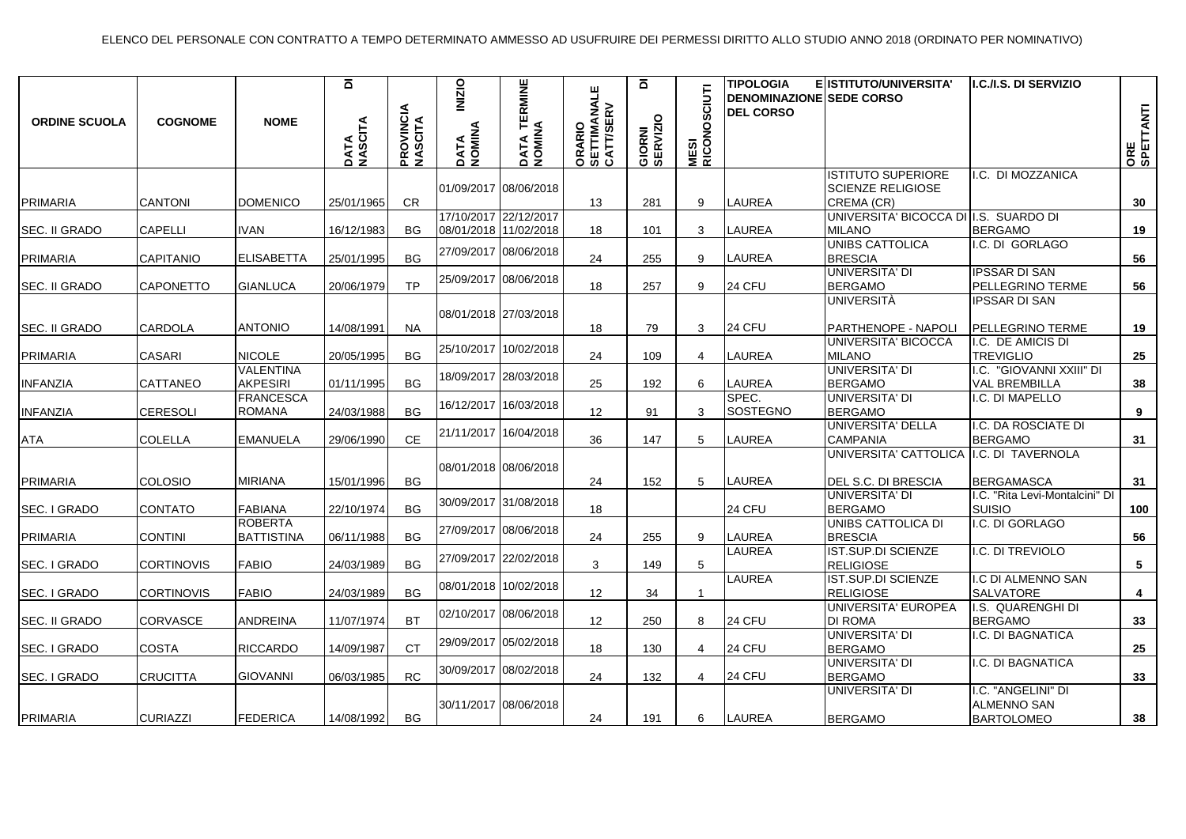| <b>ORDINE SCUOLA</b> | <b>COGNOME</b>    | <b>NOME</b>                         | $\overline{\mathbf{o}}$<br>DATA<br>NASCITA | <b>PROVINCIA</b><br>NASCITA | <b>INIZIO</b><br>DATA<br>NOMINA | DATA TERMINE<br>NOMINA | ORARIO<br>SETTIMANALE<br>CATT/SERV | $\overline{\mathbf{o}}$<br>GIORNI<br>SERVIZIO | CIUTI<br><b>MESI<br/>RICONOS</b> | <b>TIPOLOGIA</b><br><b>DENOMINAZIONE SEDE CORSO</b><br><b>DEL CORSO</b> | E ISTITUTO/UNIVERSITA'                                | I.C./I.S. DI SERVIZIO                                 | ORE<br>SPETTANTI |
|----------------------|-------------------|-------------------------------------|--------------------------------------------|-----------------------------|---------------------------------|------------------------|------------------------------------|-----------------------------------------------|----------------------------------|-------------------------------------------------------------------------|-------------------------------------------------------|-------------------------------------------------------|------------------|
|                      |                   |                                     |                                            |                             |                                 | 01/09/2017 08/06/2018  |                                    |                                               |                                  |                                                                         | <b>ISTITUTO SUPERIORE</b><br><b>SCIENZE RELIGIOSE</b> | I.C. DI MOZZANICA                                     |                  |
| PRIMARIA             | <b>CANTONI</b>    | <b>DOMENICO</b>                     | 25/01/1965                                 | CR.                         |                                 |                        | 13                                 | 281                                           | 9                                | <b>LAUREA</b>                                                           | CREMA (CR)                                            |                                                       | 30               |
|                      |                   |                                     |                                            |                             |                                 | 17/10/2017 22/12/2017  |                                    |                                               |                                  |                                                                         | UNIVERSITA' BICOCCA DI I.S. SUARDO DI                 |                                                       |                  |
| <b>SEC. II GRADO</b> | <b>CAPELLI</b>    | <b>IVAN</b>                         | 16/12/1983                                 | <b>BG</b>                   |                                 | 08/01/2018 11/02/2018  | 18                                 | 101                                           | 3                                | <b>LAUREA</b>                                                           | <b>MILANO</b>                                         | <b>BERGAMO</b>                                        | 19               |
| PRIMARIA             | CAPITANIO         | <b>ELISABETTA</b>                   | 25/01/1995                                 | BG                          |                                 | 27/09/2017 08/06/2018  | 24                                 | 255                                           | 9                                | LAUREA                                                                  | UNIBS CATTOLICA<br><b>BRESCIA</b>                     | I.C. DI GORLAGO                                       | 56               |
|                      |                   |                                     |                                            |                             |                                 |                        |                                    |                                               |                                  |                                                                         | UNIVERSITA' DI                                        | <b>IPSSAR DI SAN</b>                                  |                  |
| ISEC. II GRADO       | <b>CAPONETTO</b>  | <b>GIANLUCA</b>                     | 20/06/1979                                 | <b>TP</b>                   |                                 | 25/09/2017 08/06/2018  | 18                                 | 257                                           | 9                                | 24 CFU                                                                  | <b>BERGAMO</b>                                        | PELLEGRINO TERME                                      | 56               |
|                      |                   |                                     |                                            |                             |                                 | 08/01/2018 27/03/2018  |                                    |                                               |                                  |                                                                         | UNIVERSITÀ                                            | IPSSAR DI SAN                                         |                  |
| ISEC. II GRADO       | <b>CARDOLA</b>    | <b>ANTONIO</b>                      | 14/08/1991                                 | <b>NA</b>                   |                                 |                        | 18                                 | 79                                            | 3                                | 24 CFU                                                                  | PARTHENOPE - NAPOLI                                   | PELLEGRINO TERME                                      | 19               |
|                      |                   |                                     |                                            |                             |                                 |                        |                                    |                                               |                                  |                                                                         | UNIVERSITA' BICOCCA                                   | I.C. DE AMICIS DI                                     |                  |
| <b>PRIMARIA</b>      | <b>CASARI</b>     | <b>NICOLE</b>                       | 20/05/1995                                 | <b>BG</b>                   |                                 | 25/10/2017 10/02/2018  | 24                                 | 109                                           | 4                                | LAUREA                                                                  | <b>MILANO</b>                                         | <b>TREVIGLIO</b>                                      | 25               |
|                      |                   | <b>VALENTINA</b>                    |                                            |                             |                                 | 18/09/2017 28/03/2018  |                                    |                                               |                                  |                                                                         | <b>UNIVERSITA' DI</b>                                 | I.C. "GIOVANNI XXIII" DI                              |                  |
| <b>INFANZIA</b>      | CATTANEO          | AKPESIRI                            | 01/11/1995                                 | <b>BG</b>                   |                                 |                        | 25                                 | 192                                           | 6                                | <b>LAUREA</b>                                                           | <b>BERGAMO</b>                                        | <b>VAL BREMBILLA</b>                                  | 38               |
|                      |                   | <b>FRANCESCA</b>                    |                                            |                             |                                 | 16/12/2017 16/03/2018  |                                    |                                               |                                  | SPEC.                                                                   | <b>UNIVERSITA' DI</b>                                 | <b>.C. DI MAPELLO</b>                                 |                  |
| <b>INFANZIA</b>      | <b>CERESOLI</b>   | <b>ROMANA</b>                       | 24/03/1988                                 | <b>BG</b>                   |                                 |                        | 12 <sup>2</sup>                    | 91                                            | 3                                | SOSTEGNO                                                                | <b>BERGAMO</b>                                        |                                                       | 9                |
|                      |                   |                                     |                                            |                             |                                 | 21/11/2017 16/04/2018  |                                    |                                               |                                  |                                                                         | UNIVERSITA' DELLA                                     | <b>.C. DA ROSCIATE DI</b>                             |                  |
| <b>ATA</b>           | <b>COLELLA</b>    | <b>EMANUELA</b>                     | 29/06/1990                                 | <b>CE</b>                   |                                 |                        | 36                                 | 147                                           | 5                                | <b>LAUREA</b>                                                           | <b>CAMPANIA</b>                                       | <b>BERGAMO</b>                                        | 31               |
| PRIMARIA             | COLOSIO           | <b>MIRIANA</b>                      | 15/01/1996                                 | BG.                         |                                 | 08/01/2018 08/06/2018  | 24                                 | 152                                           | $5^{\circ}$                      | LAUREA                                                                  | UNIVERSITA' CATTOLICA<br>DEL S.C. DI BRESCIA          | I.C. DI TAVERNOLA<br><b>BERGAMASCA</b>                | 31               |
| SEC. I GRADO         | <b>CONTATO</b>    | <b>FABIANA</b>                      | 22/10/1974                                 | <b>BG</b>                   |                                 | 30/09/2017 31/08/2018  | 18                                 |                                               |                                  | 24 CFU                                                                  | UNIVERSITA' DI<br><b>BERGAMO</b>                      | .C. "Rita Levi-Montalcini" DI<br><b>SUISIO</b>        | 100              |
| PRIMARIA             | <b>CONTINI</b>    | <b>ROBERTA</b><br><b>BATTISTINA</b> | 06/11/1988                                 | <b>BG</b>                   |                                 | 27/09/2017 08/06/2018  | 24                                 | 255                                           | 9                                | <b>LAUREA</b>                                                           | UNIBS CATTOLICA DI<br><b>BRESCIA</b>                  | I.C. DI GORLAGO                                       | 56               |
| SEC. I GRADO         | <b>CORTINOVIS</b> | <b>FABIO</b>                        | 24/03/1989                                 | <b>BG</b>                   |                                 | 27/09/2017 22/02/2018  | 3                                  | 149                                           | 5                                | LAUREA                                                                  | IST.SUP.DI SCIENZE<br><b>RELIGIOSE</b>                | <b>.C. DI TREVIOLO</b>                                | 5                |
| SEC. I GRADO         | <b>CORTINOVIS</b> | <b>FABIO</b>                        | 24/03/1989                                 | <b>BG</b>                   |                                 | 08/01/2018 10/02/2018  | 12                                 | 34                                            | -1                               | <b>LAUREA</b>                                                           | <b>IST.SUP.DI SCIENZE</b><br><b>RELIGIOSE</b>         | I.C DI ALMENNO SAN<br>SALVATORE                       | 4                |
| SEC. II GRADO        | CORVASCE          | ANDREINA                            | 11/07/1974                                 | <b>BT</b>                   |                                 | 02/10/2017 08/06/2018  | 12                                 | 250                                           | 8                                | 24 CFU                                                                  | UNIVERSITA' EUROPEA<br><b>DI ROMA</b>                 | I.S. QUARENGHI DI<br><b>BERGAMO</b>                   | 33               |
| SEC. I GRADO         | <b>COSTA</b>      | <b>RICCARDO</b>                     | 14/09/1987                                 | <b>CT</b>                   |                                 | 29/09/2017 05/02/2018  | 18                                 | 130                                           | 4                                | <b>24 CFU</b>                                                           | UNIVERSITA' DI<br><b>BERGAMO</b>                      | .C. DI BAGNATICA                                      | 25               |
| SEC. I GRADO         | <b>CRUCITTA</b>   | <b>GIOVANNI</b>                     | 06/03/1985                                 | <b>RC</b>                   |                                 | 30/09/2017 08/02/2018  | 24                                 | 132                                           | $\overline{4}$                   | 24 CFU                                                                  | UNIVERSITA' DI<br><b>BERGAMO</b>                      | .C. DI BAGNATICA                                      | 33               |
| PRIMARIA             | <b>CURIAZZI</b>   | <b>FEDERICA</b>                     | 14/08/1992                                 | <b>BG</b>                   |                                 | 30/11/2017 08/06/2018  | 24                                 | 191                                           | 6                                | <b>LAUREA</b>                                                           | <b>UNIVERSITA' DI</b><br><b>BERGAMO</b>               | .C. "ANGELINI" DI<br>ALMENNO SAN<br><b>BARTOLOMEO</b> | 38               |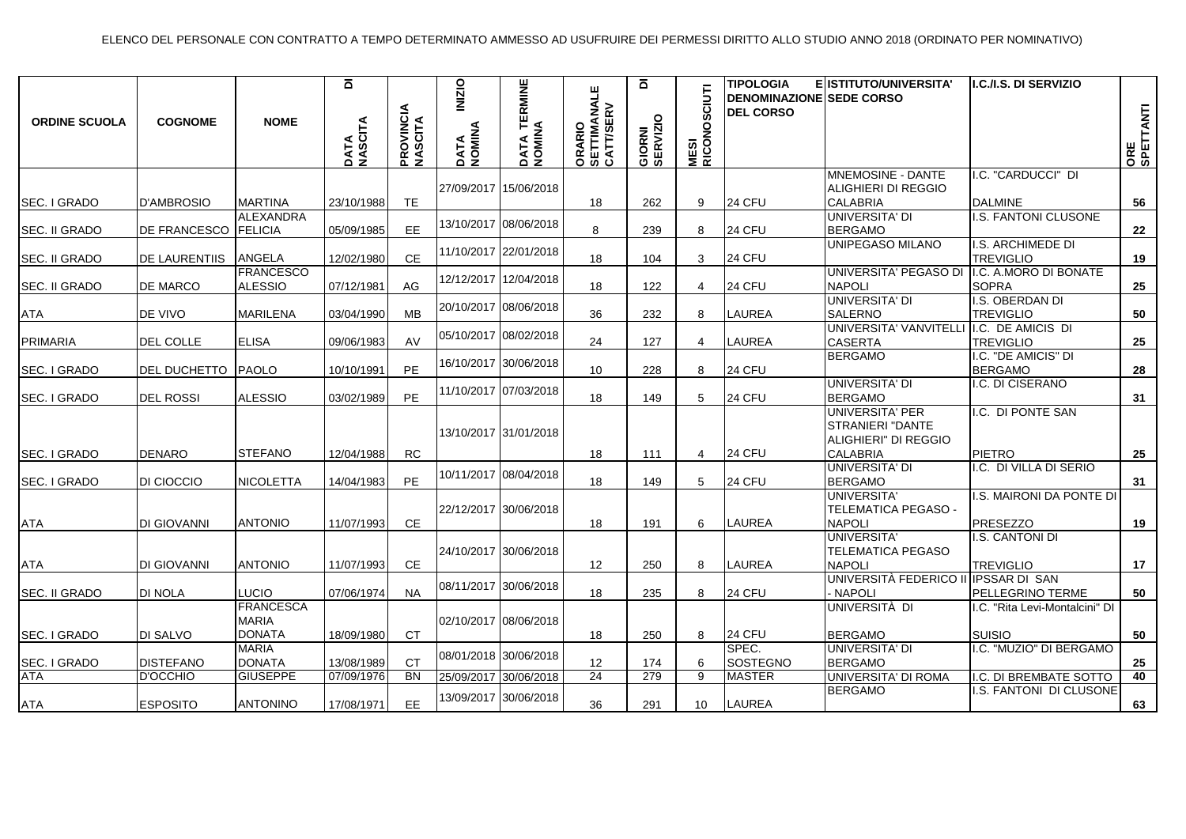| <b>ORDINE SCUOLA</b> | <b>COGNOME</b>       | <b>NOME</b>                                       | $\overline{\mathbf{o}}$<br>DATA<br>NASCITA | <b>PROVINCIA</b><br>NASCITA | <b>INIZIO</b><br>DATA<br>NOMINA | DATA TERMINE<br>NOMINA | ORARIO<br>SETTIMANALE<br>CATT/SERV | ā<br>GIORNI<br>SERVIZIO | CIUTI<br><b>MESI<br/>RICONOS</b> | <b>TIPOLOGIA</b><br><b>DENOMINAZIONE SEDE CORSO</b><br><b>DEL CORSO</b> | E ISTITUTO/UNIVERSITA'                                             | I.C./I.S. DI SERVIZIO                           | ORE<br>SPETTANTI |
|----------------------|----------------------|---------------------------------------------------|--------------------------------------------|-----------------------------|---------------------------------|------------------------|------------------------------------|-------------------------|----------------------------------|-------------------------------------------------------------------------|--------------------------------------------------------------------|-------------------------------------------------|------------------|
|                      |                      |                                                   |                                            |                             |                                 | 27/09/2017 15/06/2018  |                                    |                         |                                  |                                                                         | MNEMOSINE - DANTE<br>ALIGHIERI DI REGGIO                           | .C. "CARDUCCI" DI                               |                  |
| SEC. I GRADO         | <b>D'AMBROSIO</b>    | <b>MARTINA</b>                                    | 23/10/1988                                 | <b>TE</b>                   |                                 |                        | 18                                 | 262                     | 9                                | 24 CFU                                                                  | <b>CALABRIA</b>                                                    | <b>DALMINE</b>                                  | 56               |
| SEC. II GRADO        | DE FRANCESCO FELICIA | ALEXANDRA                                         | 05/09/1985                                 | <b>EE</b>                   |                                 | 13/10/2017 08/06/2018  | 8                                  | 239                     | 8                                | 24 CFU                                                                  | UNIVERSITA' DI<br><b>BERGAMO</b>                                   | I.S. FANTONI CLUSONE                            | 22               |
| <b>SEC. II GRADO</b> | DE LAURENTIIS        | ANGELA                                            | 12/02/1980                                 | <b>CE</b>                   |                                 | 11/10/2017 22/01/2018  | 18                                 | 104                     | 3                                | 24 CFU                                                                  | UNIPEGASO MILANO                                                   | I.S. ARCHIMEDE DI<br><b>TREVIGLIO</b>           | 19               |
| <b>SEC. II GRADO</b> | DE MARCO             | <b>FRANCESCO</b><br><b>ALESSIO</b>                | 07/12/1981                                 | AG                          |                                 | 12/12/2017 12/04/2018  | 18                                 | 122                     | 4                                | 24 CFU                                                                  | UNIVERSITA' PEGASO DI<br><b>NAPOLI</b>                             | I.C. A.MORO DI BONATE<br><b>SOPRA</b>           | 25               |
| <b>ATA</b>           | DE VIVO              | <b>MARILENA</b>                                   | 03/04/1990                                 | <b>MB</b>                   |                                 | 20/10/2017 08/06/2018  | 36                                 | 232                     | 8                                | <b>LAUREA</b>                                                           | UNIVERSITA' DI<br><b>SALERNO</b>                                   | I.S. OBERDAN DI<br><b>TREVIGLIO</b>             | 50               |
| <b>PRIMARIA</b>      | DEL COLLE            | <b>ELISA</b>                                      | 09/06/1983                                 | AV                          |                                 | 05/10/2017 08/02/2018  | 24                                 | 127                     | $\overline{4}$                   | <b>LAUREA</b>                                                           | <b>UNIVERSITA' VANVITELLI</b><br><b>CASERTA</b>                    | I.C. DE AMICIS DI<br><b>TREVIGLIO</b>           | 25               |
| <b>SEC. I GRADO</b>  | <b>DEL DUCHETTO</b>  | PAOLO                                             | 10/10/1991                                 | <b>PE</b>                   |                                 | 16/10/2017 30/06/2018  | 10 <sup>°</sup>                    | 228                     | 8                                | 24 CFU                                                                  | <b>BERGAMO</b>                                                     | .C. "DE AMICIS" DI<br><b>BERGAMO</b>            | 28               |
| SEC. I GRADO         | <b>DEL ROSSI</b>     | <b>ALESSIO</b>                                    | 03/02/1989                                 | PE                          |                                 | 11/10/2017 07/03/2018  | 18                                 | 149                     | 5                                | 24 CFU                                                                  | UNIVERSITA' DI<br><b>BERGAMO</b>                                   | .C. DI CISERANO                                 | 31               |
|                      |                      |                                                   |                                            |                             |                                 | 13/10/2017 31/01/2018  |                                    |                         |                                  |                                                                         | UNIVERSITA' PER<br><b>STRANIERI "DANTE</b><br>ALIGHIERI" DI REGGIO | I.C. DI PONTE SAN                               |                  |
| SEC. I GRADO         | <b>DENARO</b>        | <b>STEFANO</b>                                    | 12/04/1988                                 | <b>RC</b>                   |                                 |                        | 18                                 | 111                     | 4                                | <b>24 CFU</b>                                                           | <b>CALABRIA</b>                                                    | <b>PIETRO</b>                                   | 25               |
| <b>SEC. I GRADO</b>  | DI CIOCCIO           | <b>NICOLETTA</b>                                  | 14/04/1983                                 | PE                          |                                 | 10/11/2017 08/04/2018  | 18                                 | 149                     | $5^{\circ}$                      | 24 CFU                                                                  | UNIVERSITA' DI<br><b>BERGAMO</b>                                   | .C. DI VILLA DI SERIO                           | 31               |
| <b>ATA</b>           | DI GIOVANNI          | <b>ANTONIO</b>                                    | 11/07/1993                                 | CE.                         |                                 | 22/12/2017 30/06/2018  | 18                                 | 191                     | 6                                | <b>LAUREA</b>                                                           | <b>UNIVERSITA'</b><br><b>TELEMATICA PEGASO -</b><br><b>NAPOLI</b>  | .S. MAIRONI DA PONTE DI<br>PRESEZZO             | 19               |
| ATA                  | <b>DI GIOVANNI</b>   | <b>ANTONIO</b>                                    | 11/07/1993                                 | CE                          |                                 | 24/10/2017 30/06/2018  | 12                                 | 250                     | 8                                | LAUREA                                                                  | <b>UNIVERSITA'</b><br><b>TELEMATICA PEGASO</b><br><b>NAPOLI</b>    | I.S. CANTONI DI<br><b>TREVIGLIO</b>             | 17               |
| <b>SEC. II GRADO</b> | DI NOLA              | <b>LUCIO</b>                                      | 07/06/1974                                 | <b>NA</b>                   |                                 | 08/11/2017 30/06/2018  | 18                                 | 235                     | 8                                | 24 CFU                                                                  | UNIVERSITÀ FEDERICO II IPSSAR DI SAN<br>- NAPOLI                   | PELLEGRINO TERME                                | 50               |
| <b>SEC. I GRADO</b>  | <b>DI SALVO</b>      | <b>FRANCESCA</b><br><b>MARIA</b><br><b>DONATA</b> | 18/09/1980                                 | CT                          |                                 | 02/10/2017 08/06/2018  | 18                                 | 250                     | 8                                | 24 CFU                                                                  | UNIVERSITÀ DI<br><b>BERGAMO</b>                                    | I.C. "Rita Levi-Montalcini" DI<br><b>SUISIO</b> | 50               |
| SEC. I GRADO         | <b>DISTEFANO</b>     | <b>MARIA</b><br><b>DONATA</b>                     | 13/08/1989                                 | <b>CT</b>                   |                                 | 08/01/2018 30/06/2018  | 12                                 | 174                     | 6                                | SPEC.<br>SOSTEGNO                                                       | <b>UNIVERSITA' DI</b><br><b>BERGAMO</b>                            | .C. "MUZIO" DI BERGAMO                          | 25               |
| <b>ATA</b>           | <b>D'OCCHIO</b>      | <b>GIUSEPPE</b>                                   | 07/09/1976                                 | <b>BN</b>                   |                                 | 25/09/2017 30/06/2018  | 24                                 | 279                     | 9                                | <b>MASTER</b>                                                           | UNIVERSITA' DI ROMA                                                | I.C. DI BREMBATE SOTTO                          | 40               |
| <b>ATA</b>           | <b>ESPOSITO</b>      | <b>ANTONINO</b>                                   | 17/08/1971                                 | <b>EE</b>                   |                                 | 13/09/2017 30/06/2018  | 36                                 | 291                     | 10 <sup>1</sup>                  | <b>LAUREA</b>                                                           | <b>BERGAMO</b>                                                     | .S. FANTONI DI CLUSONE                          | 63               |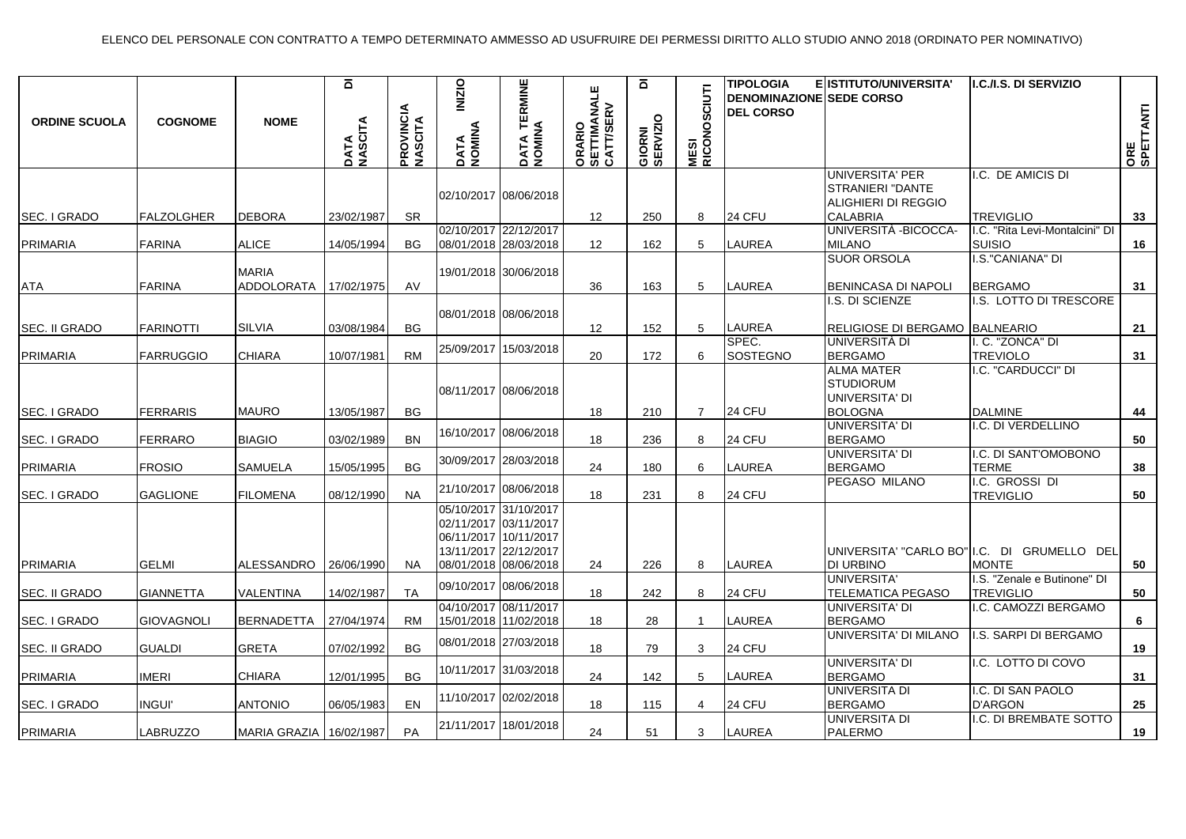| <b>ORDINE SCUOLA</b>            | <b>COGNOME</b>                   | <b>NOME</b>                                 | $\overline{\mathbf{a}}$<br>DATA<br>NASCITA | <b>PROVINCIA</b><br>MASCITA | <b>INIZIO</b><br>DATA<br>NOMINA | <b>TERMINE</b><br>DATA TE<br>NOMINA                                                              | ORARIO<br>SETTIMANALE<br>CATT/SERV | ā<br>GIORNI<br>SERVIZIO | CIUTI<br><b>MESI<br/>RICONOSC</b> | <b>TIPOLOGIA</b><br><b>DENOMINAZIONE SEDE CORSO</b><br><b>DEL CORSO</b> | E ISTITUTO/UNIVERSITA'                                                               | I.C./I.S. DI SERVIZIO                                                   | ORE<br>SPETTANTI |
|---------------------------------|----------------------------------|---------------------------------------------|--------------------------------------------|-----------------------------|---------------------------------|--------------------------------------------------------------------------------------------------|------------------------------------|-------------------------|-----------------------------------|-------------------------------------------------------------------------|--------------------------------------------------------------------------------------|-------------------------------------------------------------------------|------------------|
| SEC. I GRADO                    | <b>FALZOLGHER</b>                | <b>DEBORA</b>                               | 23/02/1987                                 | <b>SR</b>                   |                                 | 02/10/2017 08/06/2018                                                                            | 12                                 | 250                     | 8                                 | 24 CFU                                                                  | <b>UNIVERSITA' PER</b><br>STRANIERI "DANTE<br>ALIGHIERI DI REGGIO<br><b>CALABRIA</b> | I.C. DE AMICIS DI<br><b>TREVIGLIO</b>                                   | 33               |
| PRIMARIA                        | <b>FARINA</b>                    | <b>ALICE</b>                                | 14/05/1994                                 | ВG                          |                                 | 02/10/2017 22/12/2017<br>08/01/2018 28/03/2018                                                   | 12                                 | 162                     | 5                                 | <b>LAUREA</b>                                                           | UNIVERSITÀ -BICOCCA-<br><b>MILANO</b><br><b>SUOR ORSOLA</b>                          | I.C. "Rita Levi-Montalcini" DI<br><b>SUISIO</b><br>I.S."CANIANA" DI     | 16               |
| <b>ATA</b>                      | <b>FARINA</b>                    | <b>MARIA</b><br>ADDOLORATA                  | 17/02/1975                                 | AV                          |                                 | 19/01/2018 30/06/2018                                                                            | 36                                 | 163                     | 5                                 | <b>LAUREA</b>                                                           | BENINCASA DI NAPOLI                                                                  | <b>BERGAMO</b>                                                          | 31               |
| SEC. II GRADO                   | <b>FARINOTTI</b>                 | <b>SILVIA</b>                               | 03/08/1984                                 | <b>BG</b>                   |                                 | 08/01/2018 08/06/2018                                                                            | 12                                 | 152                     | 5                                 | <b>LAUREA</b>                                                           | I.S. DI SCIENZE<br>RELIGIOSE DI BERGAMO BALNEARIO                                    | I.S. LOTTO DI TRESCORE                                                  | 21               |
| <b>PRIMARIA</b>                 | <b>FARRUGGIO</b>                 | <b>CHIARA</b>                               | 10/07/1981                                 | <b>RM</b>                   |                                 | 25/09/2017 15/03/2018                                                                            | 20                                 | 172                     | 6                                 | SPEC.<br>SOSTEGNO                                                       | UNIVERSITÀ DI<br><b>BERGAMO</b><br><b>ALMA MATER</b>                                 | I. C. "ZONCA" DI<br><b>TREVIOLO</b><br>I.C. "CARDUCCI" DI               | 31               |
| SEC. I GRADO                    | <b>FERRARIS</b>                  | <b>MAURO</b>                                | 13/05/1987                                 | <b>BG</b>                   |                                 | 08/11/2017 08/06/2018                                                                            | 18                                 | 210                     | $\overline{7}$                    | 24 CFU                                                                  | <b>STUDIORUM</b><br>UNIVERSITA' DI<br><b>BOLOGNA</b>                                 | <b>DALMINE</b>                                                          | 44               |
| SEC. I GRADO                    | <b>FERRARO</b>                   | <b>BIAGIO</b>                               | 03/02/1989                                 | <b>BN</b>                   |                                 | 16/10/2017 08/06/2018                                                                            | 18                                 | 236                     | 8                                 | 24 CFU                                                                  | UNIVERSITA' DI<br><b>BERGAMO</b>                                                     | I.C. DI VERDELLINO                                                      | 50               |
| <b>PRIMARIA</b>                 | <b>FROSIO</b>                    | SAMUELA                                     | 15/05/1995                                 | <b>BG</b>                   |                                 | 30/09/2017 28/03/2018                                                                            | 24                                 | 180                     | 6                                 | <b>LAUREA</b>                                                           | UNIVERSITA' DI<br><b>BERGAMO</b><br>PEGASO MILANO                                    | I.C. DI SANT'OMOBONO<br><b>TERME</b><br>I.C. GROSSI DI                  | 38               |
| SEC. I GRADO                    | <b>GAGLIONE</b>                  | <b>FILOMENA</b>                             | 08/12/1990                                 | <b>NA</b>                   |                                 | 21/10/2017 08/06/2018<br>05/10/2017 31/10/2017                                                   | 18                                 | 231                     | 8                                 | <b>24 CFU</b>                                                           |                                                                                      | <b>TREVIGLIO</b>                                                        | 50               |
| <b>PRIMARIA</b>                 | <b>GELMI</b>                     | <b>ALESSANDRO</b>                           | 26/06/1990                                 | NA.                         |                                 | 02/11/2017 03/11/2017<br>06/11/2017 10/11/2017<br>13/11/2017 22/12/2017<br>08/01/2018 08/06/2018 | 24                                 | 226                     | 8                                 | <b>LAUREA</b>                                                           | <b>DI URBINO</b>                                                                     | UNIVERSITA' "CARLO BO" I.C. DI GRUMELLO DEL<br><b>MONTE</b>             | 50               |
| SEC. II GRADO                   | <b>GIANNETTA</b>                 | VALENTINA                                   | 14/02/1987                                 | <b>TA</b>                   |                                 | 09/10/2017 08/06/2018<br>04/10/2017 08/11/2017                                                   | 18                                 | 242                     | 8                                 | 24 CFU                                                                  | UNIVERSITA'<br>TELEMATICA PEGASO<br><b>UNIVERSITA' DI</b>                            | I.S. "Zenale e Butinone" DI<br><b>TREVIGLIO</b><br>I.C. CAMOZZI BERGAMO | 50               |
| SEC. I GRADO                    | <b>GIOVAGNOLI</b>                | <b>BERNADETTA</b>                           | 27/04/1974                                 | <b>RM</b>                   |                                 | 15/01/2018 11/02/2018                                                                            | 18                                 | 28                      |                                   | <b>LAUREA</b>                                                           | <b>BERGAMO</b><br>UNIVERSITA' DI MILANO                                              | I.S. SARPI DI BERGAMO                                                   | 6                |
| SEC. II GRADO                   | <b>GUALDI</b>                    | <b>GRETA</b>                                | 07/02/1992                                 | <b>BG</b>                   |                                 | 08/01/2018 27/03/2018                                                                            | 18                                 | 79                      | 3                                 | <b>24 CFU</b>                                                           | UNIVERSITA' DI                                                                       | I.C. LOTTO DI COVO                                                      | 19               |
| <b>PRIMARIA</b>                 | <b>IMERI</b>                     | <b>CHIARA</b>                               | 12/01/1995                                 | <b>BG</b>                   |                                 | 10/11/2017 31/03/2018<br>11/10/2017 02/02/2018                                                   | 24                                 | 142                     | 5                                 | LAUREA                                                                  | <b>BERGAMO</b><br>UNIVERSITA DI                                                      | I.C. DI SAN PAOLO                                                       | 31               |
| SEC. I GRADO<br><b>PRIMARIA</b> | <b>INGUI'</b><br><b>LABRUZZO</b> | <b>ANTONIO</b><br>MARIA GRAZIA   16/02/1987 | 06/05/1983                                 | EN<br>PA                    |                                 | 21/11/2017 18/01/2018                                                                            | 18<br>24                           | 115<br>51               | $\overline{4}$<br>3               | 24 CFU<br><b>LAUREA</b>                                                 | <b>BERGAMO</b><br>UNIVERSITA DI<br><b>PALERMO</b>                                    | <b>D'ARGON</b><br>I.C. DI BREMBATE SOTTO                                | 25<br>19         |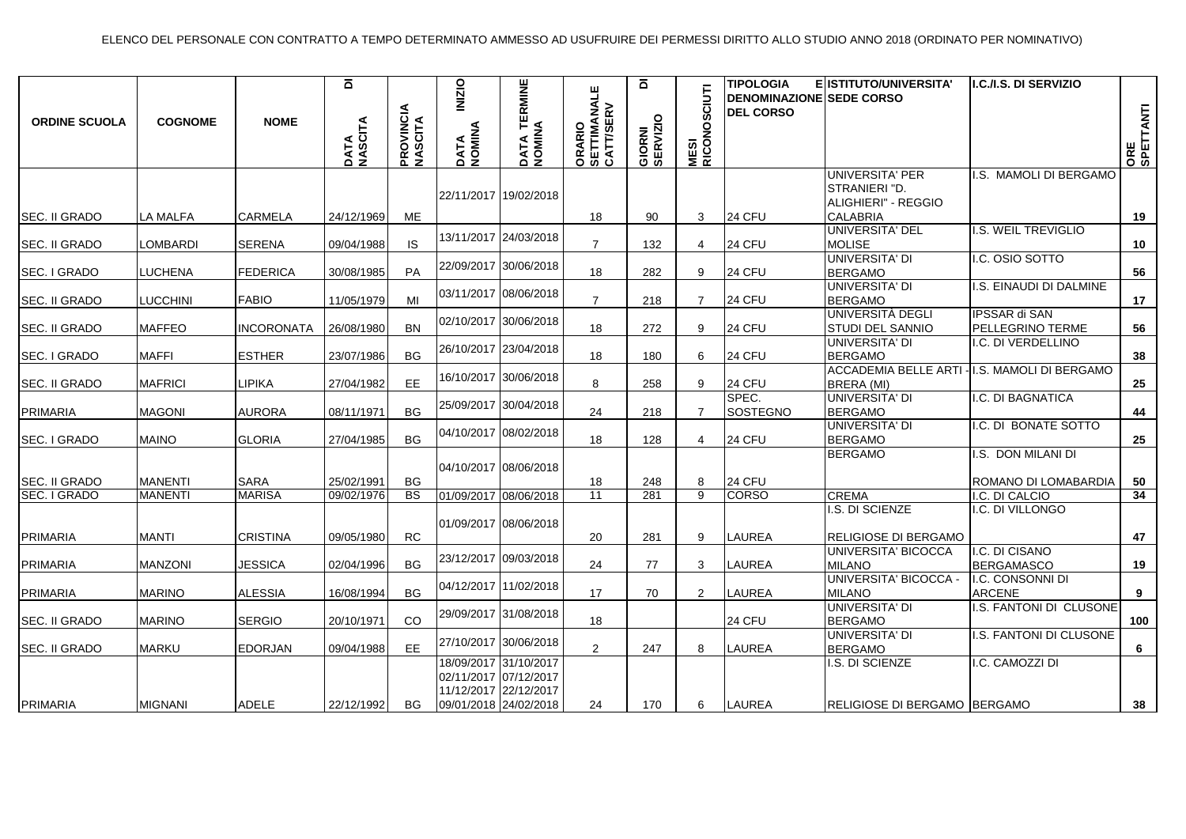| <b>ORDINE SCUOLA</b>           | <b>COGNOME</b>                   | <b>NOME</b>                  | $\overline{\mathbf{a}}$<br>DATA<br>NASCITA | <b>PROVINCIA</b><br>MASCITA | <b>INIZIO</b><br>DATA<br>NOMINA | DATA TERMINE<br>NOMINA                                                                           | ORARIO<br>SETTIMANALE<br>CATT/SERV | ā<br>GIORNI<br>SERVIZIO | CIUTI<br><b>MESI<br/>RICONOSO</b> | <b>TIPOLOGIA</b><br><b>DENOMINAZIONE SEDE CORSO</b><br><b>DEL CORSO</b> | E ISTITUTO/UNIVERSITA'                           | I.C./I.S. DI SERVIZIO                  | ORE<br>SPETTANTI |
|--------------------------------|----------------------------------|------------------------------|--------------------------------------------|-----------------------------|---------------------------------|--------------------------------------------------------------------------------------------------|------------------------------------|-------------------------|-----------------------------------|-------------------------------------------------------------------------|--------------------------------------------------|----------------------------------------|------------------|
|                                |                                  |                              |                                            |                             |                                 | 22/11/2017 19/02/2018                                                                            |                                    |                         |                                   |                                                                         | <b>UNIVERSITA' PER</b><br>STRANIERI "D.          | I.S. MAMOLI DI BERGAMO                 |                  |
| ISEC. II GRADO                 | <b>LA MALFA</b>                  | <b>CARMELA</b>               | 24/12/1969                                 | ME                          |                                 |                                                                                                  | 18                                 | 90                      | 3                                 | 24 CFU                                                                  | ALIGHIERI" - REGGIO<br><b>CALABRIA</b>           |                                        | 19               |
|                                |                                  |                              |                                            |                             |                                 | 13/11/2017 24/03/2018                                                                            |                                    |                         |                                   |                                                                         | UNIVERSITA' DEL                                  | I.S. WEIL TREVIGLIO                    |                  |
| SEC. II GRADO                  | <b>LOMBARDI</b>                  | <b>SERENA</b>                | 09/04/1988                                 | <b>IS</b>                   |                                 |                                                                                                  | $\overline{7}$                     | 132                     | 4                                 | 24 CFU                                                                  | MOLISE                                           |                                        | 10               |
| SEC. I GRADO                   | LUCHENA                          | <b>FEDERICA</b>              | 30/08/1985                                 | PA                          |                                 | 22/09/2017 30/06/2018                                                                            | 18                                 | 282                     | 9                                 | 24 CFU                                                                  | <b>UNIVERSITA' DI</b><br><b>BERGAMO</b>          | I.C. OSIO SOTTO                        | 56               |
| <b>SEC. II GRADO</b>           | <b>LUCCHINI</b>                  | <b>FABIO</b>                 | 11/05/1979                                 | MI                          |                                 | 03/11/2017 08/06/2018                                                                            | $\overline{7}$                     | 218                     | $\overline{7}$                    | 24 CFU                                                                  | UNIVERSITA' DI<br><b>BERGAMO</b>                 | I.S. EINAUDI DI DALMINE                | 17               |
| <b>SEC. II GRADO</b>           | <b>MAFFEO</b>                    | <b>INCORONATA</b>            | 26/08/1980                                 | <b>BN</b>                   |                                 | 02/10/2017 30/06/2018                                                                            | 18                                 | 272                     | 9                                 | <b>24 CFU</b>                                                           | UNIVERSITÀ DEGLI<br>STUDI DEL SANNIO             | IPSSAR di SAN<br>PELLEGRINO TERME      | 56               |
| <b>SEC. I GRADO</b>            | <b>MAFFI</b>                     | <b>ESTHER</b>                | 23/07/1986                                 | <b>BG</b>                   |                                 | 26/10/2017 23/04/2018                                                                            | 18                                 | 180                     | 6                                 | 24 CFU                                                                  | <b>UNIVERSITA' DI</b><br><b>BERGAMO</b>          | I.C. DI VERDELLINO                     | 38               |
| <b>SEC. II GRADO</b>           | <b>MAFRICI</b>                   | <b>LIPIKA</b>                | 27/04/1982                                 | EE                          |                                 | 16/10/2017 30/06/2018                                                                            | 8                                  | 258                     | 9                                 | 24 CFU                                                                  | <b>ACCADEMIA BELLE ARTI</b><br>BRERA (MI)        | -I.S. MAMOLI DI BERGAMO                | 25               |
| PRIMARIA                       | <b>MAGONI</b>                    | <b>AURORA</b>                | 08/11/1971                                 | <b>BG</b>                   |                                 | 25/09/2017 30/04/2018                                                                            | 24                                 | 218                     | $\overline{7}$                    | SPEC.<br>SOSTEGNO                                                       | UNIVERSITA' DI<br><b>BERGAMO</b>                 | I.C. DI BAGNATICA                      | 44               |
| SEC. I GRADO                   | <b>MAINO</b>                     | <b>GLORIA</b>                | 27/04/1985                                 | BG                          |                                 | 04/10/2017 08/02/2018                                                                            | 18                                 | 128                     | 4                                 | 24 CFU                                                                  | <b>UNIVERSITA' DI</b><br><b>BERGAMO</b>          | I.C. DI BONATE SOTTO                   | 25               |
|                                |                                  |                              |                                            |                             |                                 | 04/10/2017 08/06/2018                                                                            |                                    |                         |                                   |                                                                         | <b>BERGAMO</b>                                   | I.S. DON MILANI DI                     |                  |
| SEC. II GRADO<br>ISEC. I GRADO | <b>MANENTI</b><br><b>MANENTI</b> | <b>SARA</b><br><b>MARISA</b> | 25/02/1991<br>09/02/1976                   | BG<br>$\overline{BS}$       |                                 | 01/09/2017 08/06/2018                                                                            | 18<br>11                           | 248<br>281              | 8<br>9                            | 24 CFU<br><b>CORSO</b>                                                  | <b>CREMA</b>                                     | ROMANO DI LOMABARDIA<br>I.C. DI CALCIO | 50<br>34         |
|                                |                                  |                              |                                            |                             |                                 | 01/09/2017 08/06/2018                                                                            |                                    |                         |                                   |                                                                         | I.S. DI SCIENZE                                  | I.C. DI VILLONGO                       |                  |
| PRIMARIA                       | <b>MANTI</b>                     | <b>CRISTINA</b>              | 09/05/1980                                 | <b>RC</b>                   |                                 |                                                                                                  | 20                                 | 281                     | 9                                 | <b>LAUREA</b>                                                           | RELIGIOSE DI BERGAMO                             |                                        | 47               |
| <b>PRIMARIA</b>                | <b>MANZONI</b>                   | JESSICA                      | 02/04/1996                                 | <b>BG</b>                   |                                 | 23/12/2017 09/03/2018                                                                            | 24                                 | 77                      | 3                                 | LAUREA                                                                  | UNIVERSITA' BICOCCA<br><b>MILANO</b>             | I.C. DI CISANO<br><b>BERGAMASCO</b>    | 19               |
| PRIMARIA                       | <b>MARINO</b>                    | <b>ALESSIA</b>               | 16/08/1994                                 | <b>BG</b>                   |                                 | 04/12/2017 11/02/2018                                                                            | 17                                 | 70                      | $\overline{2}$                    | <b>LAUREA</b>                                                           | UNIVERSITA' BICOCCA -<br><b>MILANO</b>           | I.C. CONSONNI DI<br><b>ARCENE</b>      | 9                |
| <b>SEC. II GRADO</b>           | <b>MARINO</b>                    | <b>SERGIO</b>                | 20/10/1971                                 | CO                          |                                 | 29/09/2017 31/08/2018                                                                            | 18                                 |                         |                                   | 24 CFU                                                                  | <b>UNIVERSITA' DI</b><br><b>BERGAMO</b>          | I.S. FANTONI DI CLUSONE                | 100              |
| SEC. II GRADO                  | <b>MARKU</b>                     | <b>EDORJAN</b>               | 09/04/1988                                 | <b>EE</b>                   |                                 | 27/10/2017 30/06/2018                                                                            | $\overline{2}$                     | 247                     | 8                                 | <b>LAUREA</b>                                                           | UNIVERSITA' DI<br><b>BERGAMO</b>                 | I.S. FANTONI DI CLUSONE                | 6                |
| PRIMARIA                       | <b>MIGNANI</b>                   | <b>ADELE</b>                 | 22/12/1992                                 | BG                          |                                 | 18/09/2017 31/10/2017<br>02/11/2017 07/12/2017<br>11/12/2017 22/12/2017<br>09/01/2018 24/02/2018 | 24                                 | 170                     | 6                                 | <b>LAUREA</b>                                                           | I.S. DI SCIENZE<br>RELIGIOSE DI BERGAMO IBERGAMO | I.C. CAMOZZI DI                        | 38               |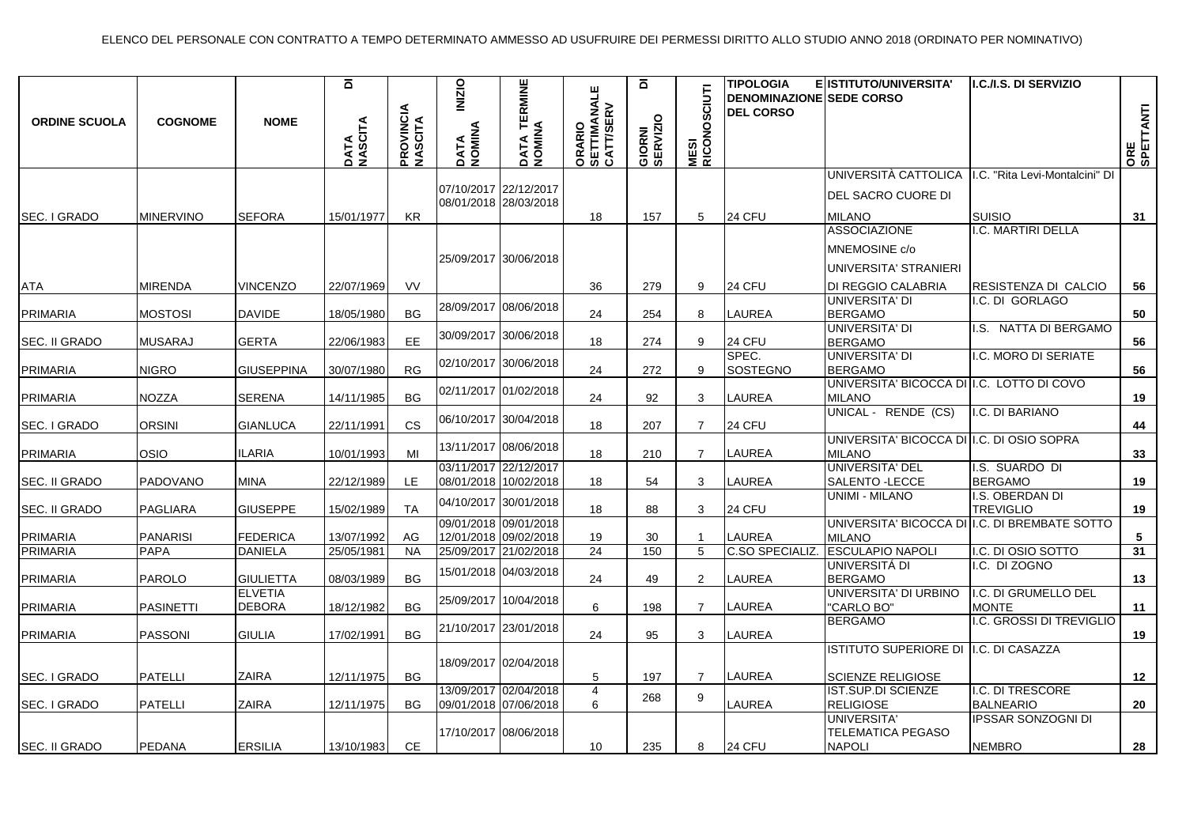| <b>ORDINE SCUOLA</b>            | <b>COGNOME</b>                     | <b>NOME</b>                        | ā<br>DATA<br>NASCITA     | <b>PROVINCIA</b><br>MASCITA | <b>INIZIO</b><br>DATA<br>NOMINA | <b>TERMINE</b><br>DATA TE<br>NOMINA            | ORARIO<br>SETTIMANALE<br>CATT/SERV | ō<br>GIORNI<br>SERVIZIO | C~U<br><b>MESI<br/>RICONOS</b> | <b>TIPOLOGIA</b><br><b>DENOMINAZIONE SEDE CORSO</b><br><b>DEL CORSO</b> | E ISTITUTO/UNIVERSITA'                                                              | I.C./I.S. DI SERVIZIO                                 | ORE<br>SPETTANTI |
|---------------------------------|------------------------------------|------------------------------------|--------------------------|-----------------------------|---------------------------------|------------------------------------------------|------------------------------------|-------------------------|--------------------------------|-------------------------------------------------------------------------|-------------------------------------------------------------------------------------|-------------------------------------------------------|------------------|
| SEC. I GRADO                    | <b>MINERVINO</b>                   | <b>SEFORA</b>                      | 15/01/1977               | KR                          |                                 | 07/10/2017 22/12/2017<br>08/01/2018 28/03/2018 | 18                                 | 157                     | 5                              | 24 CFU                                                                  | UNIVERSITÀ CATTOLICA<br>DEL SACRO CUORE DI<br><b>MILANO</b>                         | I.C. "Rita Levi-Montalcini" DI<br><b>SUISIO</b>       | 31               |
| <b>ATA</b>                      | <b>MIRENDA</b>                     | <b>VINCENZO</b>                    | 22/07/1969               | VV                          |                                 | 25/09/2017 30/06/2018                          | 36                                 | 279                     | 9                              | 24 CFU                                                                  | <b>ASSOCIAZIONE</b><br>MNEMOSINE c/o<br>UNIVERSITA' STRANIERI<br>DI REGGIO CALABRIA | I.C. MARTIRI DELLA<br>RESISTENZA DI CALCIO            | 56               |
| PRIMARIA                        | MOSTOSI                            | <b>DAVIDE</b>                      | 18/05/1980               | <b>BG</b>                   |                                 | 28/09/2017 08/06/2018                          | 24                                 | 254                     | 8                              | LAUREA                                                                  | <b>UNIVERSITA' DI</b><br><b>BERGAMO</b>                                             | I.C. DI GORLAGO                                       | 50               |
| <b>SEC. II GRADO</b>            | <b>MUSARAJ</b>                     | <b>GERTA</b>                       | 22/06/1983               | EE.                         |                                 | 30/09/2017 30/06/2018                          | 18                                 | 274                     | 9                              | 24 CFU                                                                  | <b>UNIVERSITA' DI</b><br><b>BERGAMO</b>                                             | I.S. NATTA DI BERGAMO                                 | 56               |
| PRIMARIA                        | <b>NIGRO</b>                       | GIUSEPPINA                         | 30/07/1980               | <b>RG</b>                   |                                 | 02/10/2017 30/06/2018                          | 24                                 | 272                     | 9                              | SPEC.<br>SOSTEGNO                                                       | UNIVERSITA' DI<br><b>BERGAMO</b><br>UNIVERSITA' BICOCCA DI I.C. LOTTO DI COVO       | I.C. MORO DI SERIATE                                  | 56               |
| PRIMARIA                        | <b>NOZZA</b>                       | SERENA                             | 14/11/1985               | <b>BG</b>                   |                                 | 02/11/2017 01/02/2018                          | 24                                 | 92                      | 3                              | LAUREA                                                                  | <b>MILANO</b><br>UNICAL - RENDE (CS)                                                | I.C. DI BARIANO                                       | 19               |
| SEC. I GRADO                    | ORSINI                             | <b>GIANLUCA</b>                    | 22/11/1991               | <b>CS</b>                   |                                 | 06/10/2017 30/04/2018<br>13/11/2017 08/06/2018 | 18                                 | 207                     | $\overline{7}$                 | 24 CFU                                                                  | UNIVERSITA' BICOCCA DI I.C. DI OSIO SOPRA                                           |                                                       | 44               |
| <b>PRIMARIA</b>                 | OSIO                               | <b>ILARIA</b>                      | 10/01/1993               | MI                          |                                 | 03/11/2017 22/12/2017                          | 18                                 | 210                     | $\overline{7}$                 | LAUREA                                                                  | <b>MILANO</b><br><b>UNIVERSITA' DEL</b>                                             | I.S. SUARDO DI                                        | 33               |
| ISEC. II GRADO<br>SEC. II GRADO | <b>PADOVANO</b><br><b>PAGLIARA</b> | <b>MINA</b><br><b>GIUSEPPE</b>     | 22/12/1989<br>15/02/1989 | LE.<br><b>TA</b>            |                                 | 08/01/2018 10/02/2018<br>04/10/2017 30/01/2018 | 18<br>18                           | 54<br>88                | 3<br>3                         | <b>LAUREA</b><br><b>24 CFU</b>                                          | SALENTO - LECCE<br>UNIMI - MILANO                                                   | <b>BERGAMO</b><br>I.S. OBERDAN DI<br><b>TREVIGLIO</b> | 19<br>19         |
| PRIMARIA                        | <b>PANARISI</b>                    | FEDERICA                           | 13/07/1992               | AG                          |                                 | 09/01/2018 09/01/2018<br>12/01/2018 09/02/2018 | 19                                 | 30                      |                                | <b>LAUREA</b>                                                           | UNIVERSITA' BICOCCA DI<br><b>MILANO</b>                                             | I.C. DI BREMBATE SOTTO                                | 5                |
| PRIMARIA<br>PRIMARIA            | <b>PAPA</b><br><b>PAROLO</b>       | <b>DANIELA</b><br><b>GIULIETTA</b> | 25/05/1981<br>08/03/1989 | <b>NA</b><br><b>BG</b>      |                                 | 25/09/2017 21/02/2018<br>15/01/2018 04/03/2018 | $\overline{24}$<br>24              | 150<br>49               | 5<br>$\overline{2}$            | C.SO SPECIALIZ.<br>LAUREA                                               | <b>ESCULAPIO NAPOLI</b><br>UNIVERSITÁ DI<br><b>BERGAMO</b>                          | I.C. DI OSIO SOTTO<br>I.C. DI ZOGNO                   | 31<br>13         |
| PRIMARIA                        | <b>PASINETTI</b>                   | <b>ELVETIA</b><br><b>DEBORA</b>    | 18/12/1982               | <b>BG</b>                   | 25/09/2017                      | 10/04/2018                                     | 6                                  | 198                     | $\overline{7}$                 | LAUREA                                                                  | UNIVERSITA' DI URBINO<br>"CARLO BO"                                                 | I.C. DI GRUMELLO DEL<br><b>MONTE</b>                  | 11               |
| PRIMARIA                        | <b>PASSONI</b>                     | <b>GIULIA</b>                      | 17/02/1991               | <b>BG</b>                   |                                 | 21/10/2017 23/01/2018                          | 24                                 | 95                      | 3                              | <b>LAUREA</b>                                                           | <b>BERGAMO</b>                                                                      | I.C. GROSSI DI TREVIGLIO                              | 19               |
| SEC. I GRADO                    | <b>PATELLI</b>                     | <b>ZAIRA</b>                       | 12/11/1975               | <b>BG</b>                   |                                 | 18/09/2017 02/04/2018                          | 5                                  | 197                     | $\overline{7}$                 | LAUREA                                                                  | <b>ISTITUTO SUPERIORE DI</b><br><b>SCIENZE RELIGIOSE</b>                            | I.C. DI CASAZZA                                       | 12               |
| SEC. I GRADO                    | <b>PATELLI</b>                     | <b>ZAIRA</b>                       | 12/11/1975               | <b>BG</b>                   |                                 | 13/09/2017 02/04/2018<br>09/01/2018 07/06/2018 | $\overline{4}$<br>6                | 268                     | 9                              | <b>LAUREA</b>                                                           | IST.SUP.DI SCIENZE<br><b>RELIGIOSE</b>                                              | I.C. DI TRESCORE<br><b>BALNEARIO</b>                  | 20               |
| SEC. II GRADO                   | PEDANA                             | <b>ERSILIA</b>                     | 13/10/1983               | CE                          |                                 | 17/10/2017 08/06/2018                          | 10                                 | 235                     | 8                              | <b>24 CFU</b>                                                           | UNIVERSITA'<br><b>TELEMATICA PEGASO</b><br><b>NAPOLI</b>                            | <b>IPSSAR SONZOGNI DI</b><br><b>NEMBRO</b>            | 28               |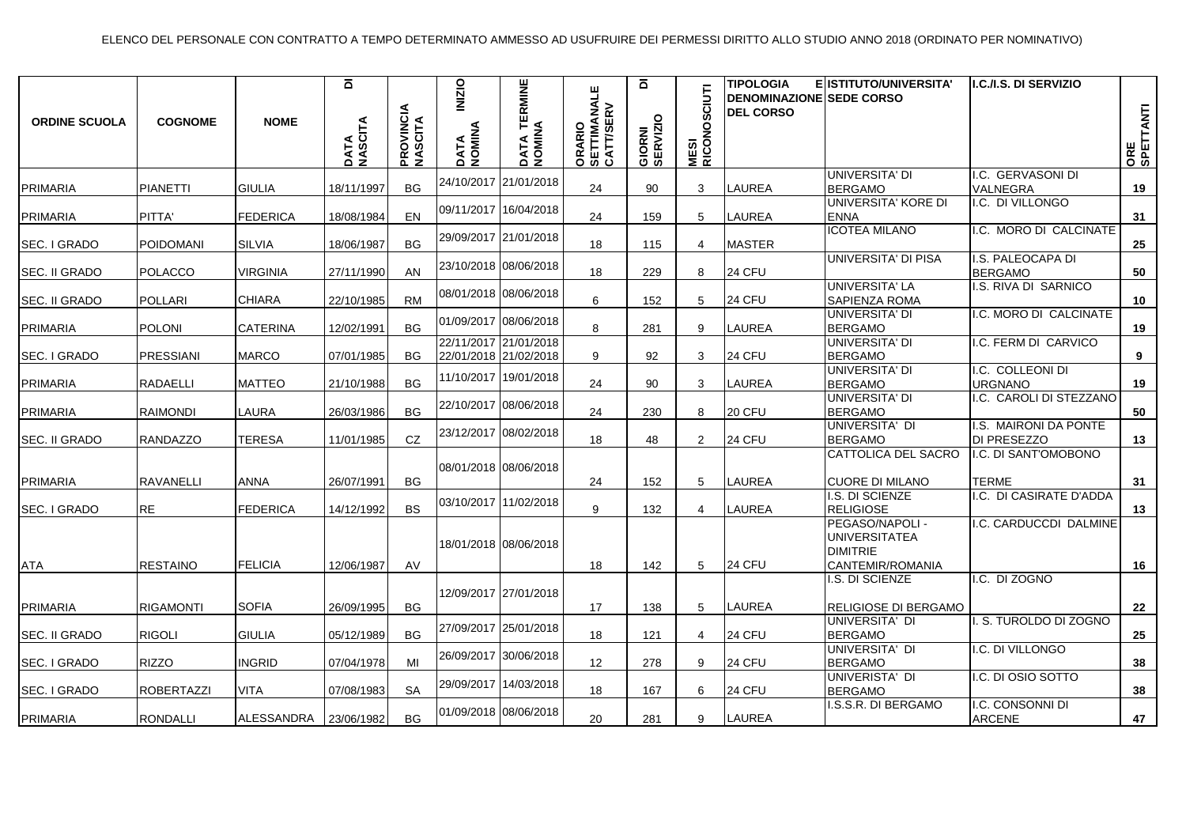| <b>ORDINE SCUOLA</b> | <b>COGNOME</b>    | <b>NOME</b>     | $\overline{\mathbf{a}}$<br>DATA<br>NASCITA | <b>PROVINCIA</b><br>NASCITA | <b>INIZIO</b><br>DATA<br>NOMINA | TERMINE<br>DATA TE<br>NOMINA                   | ORARIO<br>SETTIMANALE<br>CATT/SERV | $\overline{\mathbf{a}}$<br>GIORNI<br>SERVIZIO | <b>MESI<br/>RICONOSCIUTI</b> | <b>TIPOLOGIA</b><br><b>DENOMINAZIONE SEDE CORSO</b><br><b>DEL CORSO</b> | ELISTITUTO/UNIVERSITA'                                                         | <b>I.C./I.S. DI SERVIZIO</b>         | ORE<br>SPETTANTI |
|----------------------|-------------------|-----------------|--------------------------------------------|-----------------------------|---------------------------------|------------------------------------------------|------------------------------------|-----------------------------------------------|------------------------------|-------------------------------------------------------------------------|--------------------------------------------------------------------------------|--------------------------------------|------------------|
| PRIMARIA             | <b>PIANETTI</b>   | <b>GIULIA</b>   | 18/11/1997                                 | <b>BG</b>                   | 24/10/2017                      | 21/01/2018                                     | 24                                 | 90                                            | 3                            | LAUREA                                                                  | UNIVERSITA' DI<br><b>BERGAMO</b>                                               | I.C. GERVASONI DI<br>VALNEGRA        | 19               |
| PRIMARIA             | PITTA'            | <b>FEDERICA</b> | 18/08/1984                                 | EN                          |                                 | 09/11/2017 16/04/2018                          | 24                                 | 159                                           | 5                            | LAUREA                                                                  | luniversita' kore di<br><b>ENNA</b>                                            | I.C. DI VILLONGO                     | 31               |
| SEC. I GRADO         | POIDOMANI         | <b>SILVIA</b>   | 18/06/1987                                 | <b>BG</b>                   |                                 | 29/09/2017 21/01/2018                          | 18                                 | 115                                           | 4                            | <b>MASTER</b>                                                           | <b>ICOTEA MILANO</b>                                                           | I.C. MORO DI CALCINATE               | 25               |
| <b>SEC. II GRADO</b> | <b>POLACCO</b>    | VIRGINIA        | 27/11/1990                                 | <b>AN</b>                   |                                 | 23/10/2018 08/06/2018                          | 18                                 | 229                                           | 8                            | 24 CFU                                                                  | UNIVERSITA' DI PISA                                                            | I.S. PALEOCAPA DI<br><b>BERGAMO</b>  | 50               |
| SEC. II GRADO        | <b>POLLARI</b>    | <b>CHIARA</b>   | 22/10/1985                                 | <b>RM</b>                   |                                 |                                                | 6                                  | 152                                           | 5                            | 24 CFU                                                                  | UNIVERSITA' LA<br><b>SAPIENZA ROMA</b>                                         | I.S. RIVA DI SARNICO                 | 10               |
| PRIMARIA             | <b>POLONI</b>     | <b>CATERINA</b> | 12/02/1991                                 | <b>BG</b>                   |                                 | 01/09/2017 08/06/2018                          | 8                                  | 281                                           | 9                            | LAUREA                                                                  | UNIVERSITA' DI<br><b>BERGAMO</b>                                               | I.C. MORO DI CALCINATE               | 19               |
| SEC. I GRADO         | PRESSIANI         | <b>MARCO</b>    | 07/01/1985                                 | <b>BG</b>                   |                                 | 22/11/2017 21/01/2018<br>22/01/2018 21/02/2018 | 9                                  | 92                                            | 3                            | 24 CFU                                                                  | UNIVERSITA' DI<br><b>BERGAMO</b>                                               | I.C. FERM DI CARVICO                 | 9                |
| <b>PRIMARIA</b>      | RADAELLI          | <b>MATTEO</b>   | 21/10/1988                                 | <b>BG</b>                   |                                 | 11/10/2017 19/01/2018                          | 24                                 | 90                                            | 3                            | <b>LAUREA</b>                                                           | IUNIVERSITA' DI<br><b>BERGAMO</b>                                              | I.C. COLLEONI DI<br><b>URGNANO</b>   | 19               |
| PRIMARIA             | <b>RAIMONDI</b>   | LAURA           | 26/03/1986                                 | <b>BG</b>                   |                                 | 22/10/2017 08/06/2018                          | 24                                 | 230                                           | 8                            | 20 CFU                                                                  | UNIVERSITA' DI<br><b>BERGAMO</b>                                               | .C. CAROLI DI STEZZANO               | 50               |
| <b>SEC. II GRADO</b> | <b>RANDAZZO</b>   | <b>TERESA</b>   | 11/01/1985                                 | CZ                          |                                 | 23/12/2017 08/02/2018                          | 18                                 | 48                                            | $\overline{2}$               | 24 CFU                                                                  | UNIVERSITA' DI<br><b>BERGAMO</b>                                               | I.S. MAIRONI DA PONTE<br>DI PRESEZZO | 13               |
| PRIMARIA             | <b>RAVANELLI</b>  | ANNA            | 26/07/1991                                 | <b>BG</b>                   |                                 | 08/01/2018 08/06/2018                          | 24                                 | 152                                           | 5                            | LAUREA                                                                  | <b>CATTOLICA DEL SACRO</b><br><b>CUORE DI MILANO</b>                           | I.C. DI SANT'OMOBONO<br><b>TERME</b> | 31               |
| SEC. I GRADO         | <b>RE</b>         | <b>FEDERICA</b> | 14/12/1992                                 | <b>BS</b>                   |                                 | 03/10/2017 11/02/2018                          | 9                                  | 132                                           | $\overline{4}$               | <b>LAUREA</b>                                                           | II.S. DI SCIENZE<br><b>RELIGIOSE</b>                                           | I.C. DI CASIRATE D'ADDA              | 13               |
| <b>ATA</b>           | <b>RESTAINO</b>   | <b>FELICIA</b>  | 12/06/1987                                 | AV                          |                                 | 18/01/2018 08/06/2018                          | 18                                 | 142                                           | 5                            | 24 CFU                                                                  | PEGASO/NAPOLI -<br><b>UNIVERSITATEA</b><br><b>DIMITRIE</b><br>CANTEMIR/ROMANIA | I.C. CARDUCCDI DALMINE               | 16               |
| PRIMARIA             | <b>RIGAMONTI</b>  | <b>SOFIA</b>    | 26/09/1995                                 | <b>BG</b>                   |                                 | 12/09/2017 27/01/2018                          | 17                                 | 138                                           | 5                            | LAUREA                                                                  | I.S. DI SCIENZE<br>RELIGIOSE DI BERGAMO                                        | I.C. DI ZOGNO                        | 22               |
| SEC. II GRADO        | <b>RIGOLI</b>     | <b>GIULIA</b>   | 05/12/1989                                 | <b>BG</b>                   |                                 | 27/09/2017 25/01/2018                          | 18                                 | 121                                           | 4                            | 24 CFU                                                                  | UNIVERSITA' DI<br><b>BERGAMO</b>                                               | I. S. TUROLDO DI ZOGNO               | 25               |
| SEC. I GRADO         | <b>RIZZO</b>      | <b>INGRID</b>   | 07/04/1978                                 | MI                          |                                 | 26/09/2017 30/06/2018                          | 12                                 | 278                                           | 9                            | 24 CFU                                                                  | UNIVERSITA' DI<br><b>BERGAMO</b>                                               | I.C. DI VILLONGO                     | 38               |
| <b>SEC. I GRADO</b>  | <b>ROBERTAZZI</b> | VITA            | 07/08/1983                                 | <b>SA</b>                   |                                 | 29/09/2017 14/03/2018                          | 18                                 | 167                                           | 6                            | 24 CFU                                                                  | UNIVERISTA' DI<br><b>BERGAMO</b>                                               | I.C. DI OSIO SOTTO                   | 38               |
| <b>PRIMARIA</b>      | <b>RONDALLI</b>   | ALESSANDRA      | 23/06/1982                                 | <b>BG</b>                   |                                 | 01/09/2018 08/06/2018                          | 20                                 | 281                                           | 9                            | LAUREA                                                                  | I.S.S.R. DI BERGAMO                                                            | I.C. CONSONNI DI<br><b>ARCENE</b>    | 47               |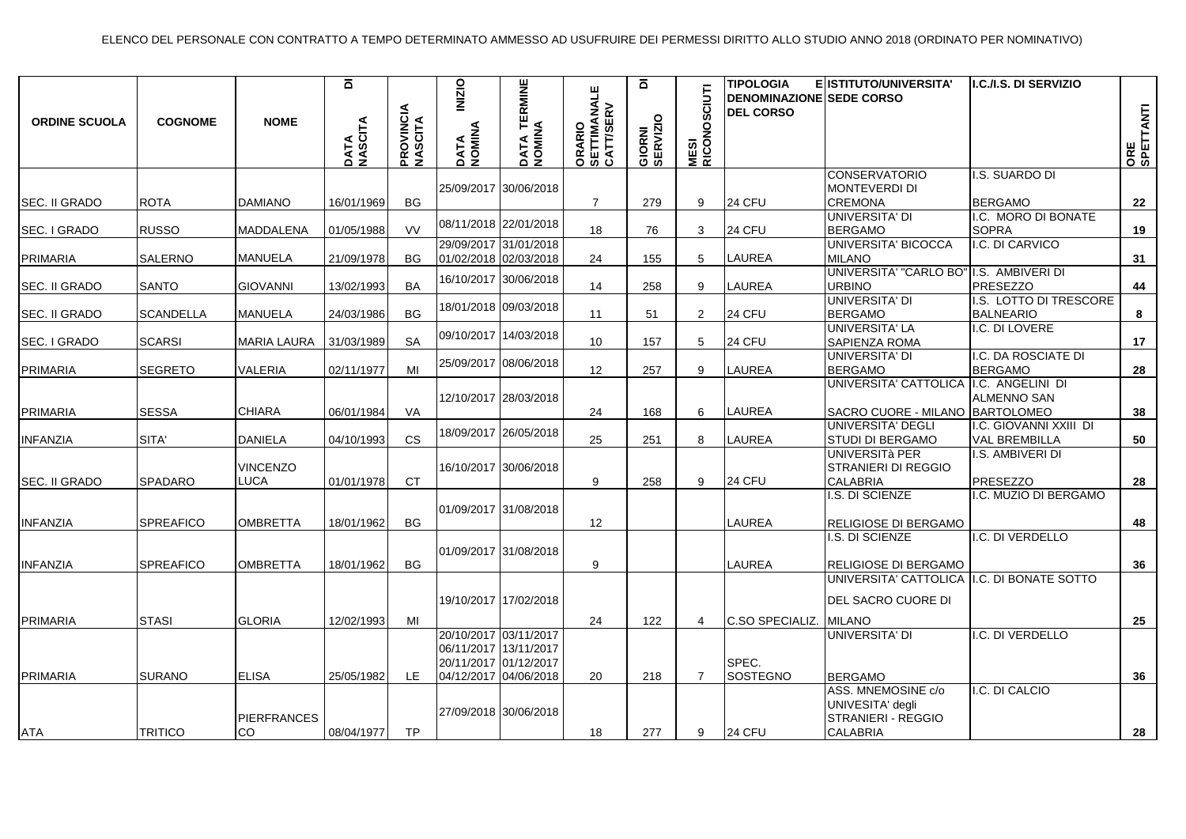| <b>ORDINE SCUOLA</b> | <b>COGNOME</b>   | <b>NOME</b>        | $\overline{\mathbf{a}}$<br>DATA<br>NASCITA | <b>PROVINCIA</b><br>NASCITA | <b>INIZIO</b><br>DATA<br>NOMINA | <b>TERMINE</b><br>DATA TE<br>NOMINA | ORARIO<br>SETTIMANALE<br>CATT/SERV | $\overline{\mathbf{a}}$<br>GIORNI<br>SERVIZIO | CIUTI<br><b>MESI<br/>RICONOSO</b> | <b>TIPOLOGIA</b><br><b>DENOMINAZIONE SEDE CORSO</b><br><b>DEL CORSO</b> | E ISTITUTO/UNIVERSITA'                       | I.C./I.S. DI SERVIZIO                | ORE<br>SPETTANTI |
|----------------------|------------------|--------------------|--------------------------------------------|-----------------------------|---------------------------------|-------------------------------------|------------------------------------|-----------------------------------------------|-----------------------------------|-------------------------------------------------------------------------|----------------------------------------------|--------------------------------------|------------------|
|                      |                  |                    |                                            |                             |                                 | 25/09/2017 30/06/2018               |                                    |                                               |                                   |                                                                         | CONSERVATORIO<br><b>MONTEVERDI DI</b>        | I.S. SUARDO DI                       |                  |
| SEC. II GRADO        | <b>ROTA</b>      | <b>DAMIANO</b>     | 16/01/1969                                 | <b>BG</b>                   |                                 |                                     | $\overline{7}$                     | 279                                           | 9                                 | 24 CFU                                                                  | <b>CREMONA</b>                               | <b>BERGAMO</b>                       | 22               |
| SEC. I GRADO         | <b>RUSSO</b>     | <b>MADDALENA</b>   | 01/05/1988                                 | <b>VV</b>                   |                                 | 08/11/2018 22/01/2018               | 18                                 | 76                                            | 3                                 | 24 CFU                                                                  | UNIVERSITA' DI<br><b>BERGAMO</b>             | I.C. MORO DI BONATE<br><b>SOPRA</b>  | 19               |
|                      |                  |                    |                                            |                             |                                 | 29/09/2017 31/01/2018               |                                    |                                               |                                   |                                                                         | UNIVERSITA' BICOCCA                          | I.C. DI CARVICO                      |                  |
| <b>PRIMARIA</b>      | <b>SALERNO</b>   | <b>MANUELA</b>     | 21/09/1978                                 | BG.                         |                                 | 01/02/2018 02/03/2018               | 24                                 | 155                                           | 5                                 | <b>LAUREA</b>                                                           | <b>MILANO</b>                                |                                      | 31               |
|                      |                  |                    |                                            |                             |                                 | 16/10/2017 30/06/2018               |                                    |                                               |                                   |                                                                         | UNIVERSITA' "CARLO BO"                       | I.S. AMBIVERI DI                     |                  |
| SEC. II GRADO        | <b>SANTO</b>     | <b>GIOVANNI</b>    | 13/02/1993                                 | <b>BA</b>                   |                                 |                                     | 14                                 | 258                                           | 9                                 | LAUREA                                                                  | <b>URBINO</b>                                | <b>PRESEZZO</b>                      | 44               |
|                      |                  |                    |                                            |                             |                                 | 18/01/2018 09/03/2018               |                                    |                                               |                                   |                                                                         | <b>UNIVERSITA' DI</b>                        | I.S. LOTTO DI TRESCORE               |                  |
| SEC. II GRADO        | <b>SCANDELLA</b> | <b>MANUELA</b>     | 24/03/1986                                 | BG                          |                                 |                                     | 11                                 | 51                                            | $\overline{2}$                    | 24 CFU                                                                  | <b>BERGAMO</b>                               | <b>BALNEARIO</b>                     | 8                |
|                      |                  |                    |                                            |                             |                                 | 09/10/2017 14/03/2018               |                                    |                                               |                                   |                                                                         | <b>UNIVERSITA' LA</b>                        | I.C. DI LOVERE                       |                  |
| SEC. I GRADO         | <b>SCARSI</b>    | <b>MARIA LAURA</b> | 31/03/1989                                 | <b>SA</b>                   |                                 |                                     | 10 <sup>°</sup>                    | 157                                           | 5                                 | 24 CFU                                                                  | SAPIENZA ROMA                                |                                      | 17               |
| <b>PRIMARIA</b>      | <b>SEGRETO</b>   | <b>VALERIA</b>     | 02/11/1977                                 | MI                          |                                 | 25/09/2017 08/06/2018               | 12                                 | 257                                           | 9                                 | <b>LAUREA</b>                                                           | <b>UNIVERSITA' DI</b>                        | .C. DA ROSCIATE DI<br><b>BERGAMO</b> | 28               |
|                      |                  |                    |                                            |                             |                                 |                                     |                                    |                                               |                                   |                                                                         | <b>BERGAMO</b><br>UNIVERSITA' CATTOLICA      | I.C. ANGELINI DI                     |                  |
|                      |                  |                    |                                            |                             |                                 | 12/10/2017 28/03/2018               |                                    |                                               |                                   |                                                                         |                                              | ALMENNO SAN                          |                  |
| <b>PRIMARIA</b>      | <b>SESSA</b>     | <b>CHIARA</b>      | 06/01/1984                                 | VA                          |                                 |                                     | 24                                 | 168                                           | 6                                 | LAUREA                                                                  | SACRO CUORE - MILANO   BARTOLOMEO            |                                      | 38               |
|                      |                  |                    |                                            |                             |                                 | 18/09/2017 26/05/2018               |                                    |                                               |                                   |                                                                         | UNIVERSITA' DEGLI                            | I.C. GIOVANNI XXIII DI               |                  |
| <b>INFANZIA</b>      | SITA'            | DANIELA            | 04/10/1993                                 | <b>CS</b>                   |                                 |                                     | 25                                 | 251                                           | 8                                 | LAUREA                                                                  | STUDI DI BERGAMO<br>UNIVERSITà PER           | <b>VAL BREMBILLA</b>                 | 50               |
|                      |                  | <b>VINCENZO</b>    |                                            |                             |                                 | 16/10/2017 30/06/2018               |                                    |                                               |                                   |                                                                         | STRANIERI DI REGGIO                          | I.S. AMBIVERI DI                     |                  |
| SEC. II GRADO        | <b>SPADARO</b>   | LUCA               | 01/01/1978                                 | CT.                         |                                 |                                     | 9                                  | 258                                           | 9                                 | 24 CFU                                                                  | CALABRIA                                     | PRESEZZO                             | 28               |
|                      |                  |                    |                                            |                             |                                 |                                     |                                    |                                               |                                   |                                                                         | I.S. DI SCIENZE                              | I.C. MUZIO DI BERGAMO                |                  |
|                      |                  |                    |                                            |                             |                                 | 01/09/2017 31/08/2018               |                                    |                                               |                                   |                                                                         |                                              |                                      |                  |
| <b>INFANZIA</b>      | <b>SPREAFICO</b> | <b>OMBRETTA</b>    | 18/01/1962                                 | <b>BG</b>                   |                                 |                                     | $12 \overline{ }$                  |                                               |                                   | <b>LAUREA</b>                                                           | RELIGIOSE DI BERGAMO                         |                                      | 48               |
|                      |                  |                    |                                            |                             |                                 |                                     |                                    |                                               |                                   |                                                                         | I.S. DI SCIENZE                              | .C. DI VERDELLO                      |                  |
|                      |                  |                    |                                            |                             |                                 | 01/09/2017 31/08/2018               |                                    |                                               |                                   |                                                                         |                                              |                                      |                  |
| <b>INFANZIA</b>      | <b>SPREAFICO</b> | <b>OMBRETTA</b>    | 18/01/1962                                 | BG                          |                                 |                                     | 9                                  |                                               |                                   | <b>LAUREA</b>                                                           | RELIGIOSE DI BERGAMO                         |                                      | 36               |
|                      |                  |                    |                                            |                             |                                 |                                     |                                    |                                               |                                   |                                                                         | UNIVERSITA' CATTOLICA   I.C. DI BONATE SOTTO |                                      |                  |
|                      |                  |                    |                                            |                             |                                 | 19/10/2017 17/02/2018               |                                    |                                               |                                   |                                                                         | DEL SACRO CUORE DI                           |                                      |                  |
| <b>PRIMARIA</b>      | <b>STASI</b>     | <b>GLORIA</b>      | 12/02/1993                                 | MI                          |                                 |                                     | 24                                 | 122                                           | 4                                 | C.SO SPECIALIZ.                                                         | <b>MILANO</b>                                |                                      | 25               |
|                      |                  |                    |                                            |                             |                                 | 20/10/2017 03/11/2017               |                                    |                                               |                                   |                                                                         | UNIVERSITA' DI                               | I.C. DI VERDELLO                     |                  |
|                      |                  |                    |                                            |                             |                                 | 06/11/2017 13/11/2017               |                                    |                                               |                                   |                                                                         |                                              |                                      |                  |
|                      |                  |                    |                                            |                             |                                 | 20/11/2017 01/12/2017               |                                    |                                               |                                   | SPEC.                                                                   |                                              |                                      |                  |
| <b>PRIMARIA</b>      | <b>SURANO</b>    | <b>ELISA</b>       | 25/05/1982                                 | LE.                         |                                 | 04/12/2017 04/06/2018               | 20                                 | 218                                           | $\overline{7}$                    | SOSTEGNO                                                                | <b>BERGAMO</b>                               |                                      | 36               |
|                      |                  |                    |                                            |                             |                                 |                                     |                                    |                                               |                                   |                                                                         | ASS. MNEMOSINE c/o                           | I.C. DI CALCIO                       |                  |
|                      |                  |                    |                                            |                             |                                 | 27/09/2018 30/06/2018               |                                    |                                               |                                   |                                                                         | UNIVESITA' degli                             |                                      |                  |
|                      |                  | <b>PIERFRANCES</b> |                                            |                             |                                 |                                     |                                    |                                               |                                   |                                                                         | STRANIERI - REGGIO                           |                                      |                  |
| ATA                  | <b>TRITICO</b>   | ICO.               | 08/04/1977                                 | <b>TP</b>                   |                                 |                                     | 18                                 | 277                                           | 9                                 | 24 CFU                                                                  | <b>CALABRIA</b>                              |                                      | 28               |